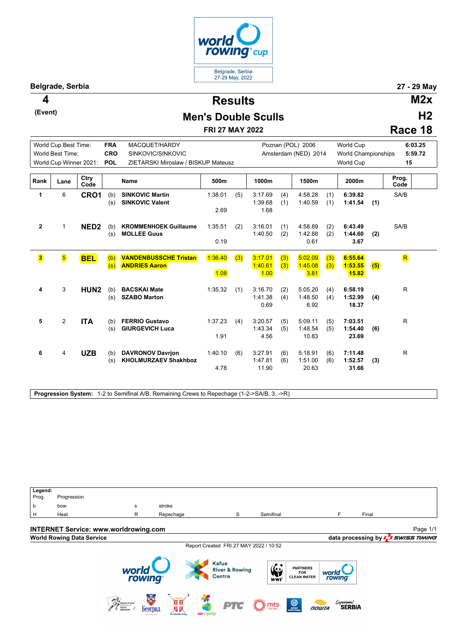

**(Event)**

**Results 4 M2x H2** 

## **Men's Double Sculls**

**FRI 27 MAY 2022**

|         | I I 4 |
|---------|-------|
| Race 18 |       |
|         |       |

|                         | World Cup Best Time:    |                  | <b>FRA</b> | MACQUET/HARDY                                          |                 |     |                             |            | Poznan (POL) 2006           |            | <b>World Cup</b>            |     | 6:03.25             |  |
|-------------------------|-------------------------|------------------|------------|--------------------------------------------------------|-----------------|-----|-----------------------------|------------|-----------------------------|------------|-----------------------------|-----|---------------------|--|
|                         | World Best Time:        |                  | <b>CRO</b> | SINKOVIC/SINKOVIC                                      |                 |     | Amsterdam (NED) 2014        |            |                             |            | <b>World Championships</b>  |     | 5:59.72             |  |
|                         | World Cup Winner 2021:  |                  | <b>POL</b> | ZIETARSKI Miroslaw / BISKUP Mateusz                    |                 |     |                             |            |                             |            | World Cup                   |     | 15                  |  |
| Rank                    | Lane                    | Ctry<br>Code     |            | Name                                                   | 500m            |     | 1000m                       |            | 1500m                       |            | 2000m                       |     | Prog.<br>Code       |  |
| 1                       | 6                       | CRO1             | (b)<br>(s) | <b>SINKOVIC Martin</b><br><b>SINKOVIC Valent</b>       | 1:38.01<br>2.69 | (5) | 3:17.69<br>1:39.68<br>1.68  | (4)<br>(1) | 4:58.28<br>1:40.59          | (1)<br>(1) | 6:39.82<br>1:41.54          | (1) | SA/B                |  |
| $\boldsymbol{2}$        | $\mathbf{1}$            | NED <sub>2</sub> | (b)<br>(s) | <b>KROMMENHOEK Guillaume</b><br><b>MOLLEE Guus</b>     | 1:35.51<br>0.19 | (2) | 3:16.01<br>1:40.50          | (1)<br>(2) | 4:58.89<br>1:42.88<br>0.61  | (2)<br>(2) | 6:43.49<br>1:44.60<br>3.67  | (2) | SA/B                |  |
| $\overline{\mathbf{3}}$ | $\overline{\mathbf{5}}$ | <b>BEL</b>       | (b)<br>(s) | <b>VANDENBUSSCHE Tristan</b><br><b>ANDRIES Aaron</b>   | 1:36.40<br>1.08 | (3) | 3:17.01<br>1:40.61<br>1.00  | (3)<br>(3) | 5:02.09<br>1:45.08<br>3.81  | (3)<br>(3) | 6:55.64<br>1:53.55<br>15.82 | (5) | $\sqrt{\mathsf{R}}$ |  |
| 4                       | 3                       | HUN <sub>2</sub> | (b)<br>(s) | <b>BACSKAI Mate</b><br><b>SZABO Marton</b>             | 1:35.32         | (1) | 3:16.70<br>1:41.38<br>0.69  | (2)<br>(4) | 5:05.20<br>1:48.50<br>6.92  | (4)<br>(4) | 6:58.19<br>1:52.99<br>18.37 | (4) | R.                  |  |
| 5                       | 2                       | <b>ITA</b>       | (b)<br>(s) | <b>FERRIO Gustavo</b><br><b>GIURGEVICH Luca</b>        | 1:37.23<br>1.91 | (4) | 3:20.57<br>1:43.34<br>4.56  | (5)<br>(5) | 5:09.11<br>1:48.54<br>10.83 | (5)<br>(5) | 7:03.51<br>1:54.40<br>23.69 | (6) | R                   |  |
| 6                       | 4                       | <b>UZB</b>       | (b)<br>(s) | <b>DAVRONOV Davrion</b><br><b>KHOLMURZAEV Shakhboz</b> | 1:40.10<br>4.78 | (6) | 3:27.91<br>1:47.81<br>11.90 | (6)<br>(6) | 5:18.91<br>1:51.00<br>20.63 | (6)<br>(6) | 7:11.48<br>1:52.57<br>31.66 | (3) | R.                  |  |

**Progression System:** 1-2 to Semifinal A/B, Remaining Crews to Repechage (1-2->SA/B, 3..->R)

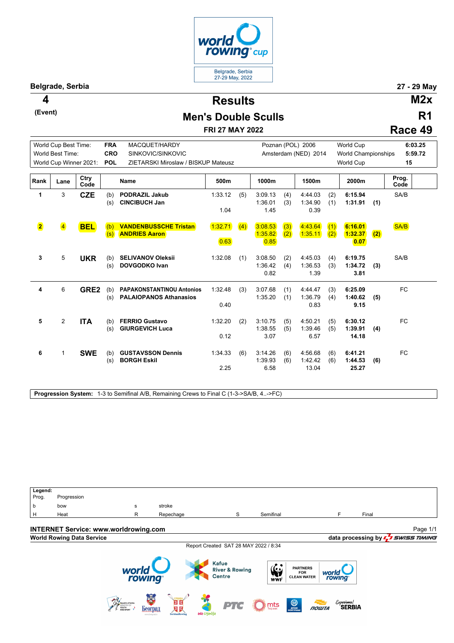

**(Event)**

**Results 4 M2x**

## **Men's Double Sculls**

**FRI 27 MAY 2022**

|         | R1 |
|---------|----|
| Race 49 |    |

| World Cup Best Time:<br>World Best Time: |                         |              | <b>FRA</b><br>MACQUET/HARDY |                                                                   |                 |     |                            |            | Poznan (POL) 2006           |            | <b>World Cup</b>            | 6:03.25 |               |
|------------------------------------------|-------------------------|--------------|-----------------------------|-------------------------------------------------------------------|-----------------|-----|----------------------------|------------|-----------------------------|------------|-----------------------------|---------|---------------|
|                                          |                         |              | CRO<br>SINKOVIC/SINKOVIC    |                                                                   |                 |     | Amsterdam (NED) 2014       |            |                             |            | <b>World Championships</b>  | 5:59.72 |               |
| World Cup Winner 2021:                   |                         |              | <b>POL</b>                  | ZIETARSKI Miroslaw / BISKUP Mateusz                               |                 |     |                            |            |                             |            | World Cup                   | 15      |               |
| Rank                                     | Lane                    | Ctry<br>Code |                             | <b>Name</b>                                                       | 500m            |     | 1000m                      |            | 1500m                       |            | 2000m                       |         | Prog.<br>Code |
| 1                                        | 3                       | <b>CZE</b>   | (b)<br>(s)                  | <b>PODRAZIL Jakub</b><br><b>CINCIBUCH Jan</b>                     | 1:33.12<br>1.04 | (5) | 3:09.13<br>1:36.01<br>1.45 | (4)<br>(3) | 4:44.03<br>1:34.90<br>0.39  | (2)<br>(1) | 6:15.94<br>1:31.91          | (1)     | SA/B          |
| $\overline{\mathbf{2}}$                  | $\overline{\mathbf{4}}$ | <b>BEL</b>   | (b)<br>(s)                  | <b>VANDENBUSSCHE Tristan</b><br><b>ANDRIES Aaron</b>              | 1:32.71<br>0.63 | (4) | 3:08.53<br>1:35.82<br>0.85 | (3)<br>(2) | 4:43.64<br>1:35.11          | (1)<br>(2) | 6:16.01<br>1:32.37<br>0.07  | (2)     | SA/B          |
| 3                                        | 5                       | <b>UKR</b>   | (b)<br>(s)                  | <b>SELIVANOV Oleksii</b><br><b>DOVGODKO Ivan</b>                  | 1:32.08         | (1) | 3:08.50<br>1:36.42<br>0.82 | (2)<br>(4) | 4:45.03<br>1:36.53<br>1.39  | (4)<br>(3) | 6:19.75<br>1:34.72<br>3.81  | (3)     | SA/B          |
| 4                                        | 6                       | GRE2         | (b)<br>(s)                  | <b>PAPAKONSTANTINOU Antonios</b><br><b>PALAIOPANOS Athanasios</b> | 1:32.48<br>0.40 | (3) | 3:07.68<br>1:35.20         | (1)<br>(1) | 4:44.47<br>1:36.79<br>0.83  | (3)<br>(4) | 6:25.09<br>1:40.62<br>9.15  | (5)     | <b>FC</b>     |
| 5                                        | 2                       | <b>ITA</b>   | (b)<br>(s)                  | <b>FERRIO Gustavo</b><br><b>GIURGEVICH Luca</b>                   | 1:32.20<br>0.12 | (2) | 3:10.75<br>1:38.55<br>3.07 | (5)<br>(5) | 4:50.21<br>1:39.46<br>6.57  | (5)<br>(5) | 6:30.12<br>1:39.91<br>14.18 | (4)     | <b>FC</b>     |
| 6                                        | $\mathbf{1}$            | <b>SWE</b>   | (b)<br>(s)                  | <b>GUSTAVSSON Dennis</b><br><b>BORGH Eskil</b>                    | 1:34.33<br>2.25 | (6) | 3:14.26<br>1:39.93<br>6.58 | (6)<br>(6) | 4:56.68<br>1:42.42<br>13.04 | (6)<br>(6) | 6:41.21<br>1:44.53<br>25.27 | (6)     | <b>FC</b>     |

**Progression System:** 1-3 to Semifinal A/B, Remaining Crews to Final C (1-3->SA/B, 4..->FC)

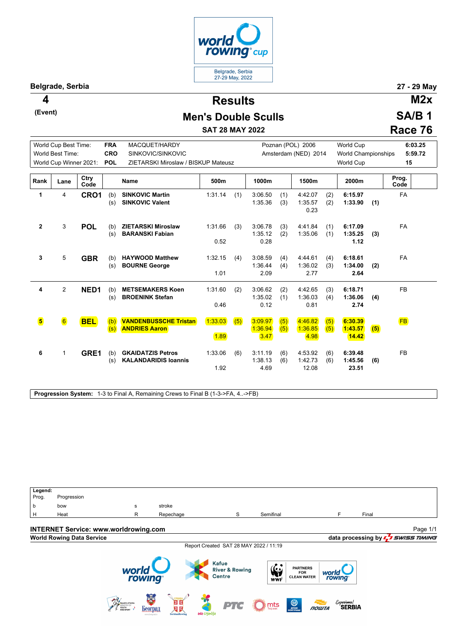

**(Event)**

**Results 4 M2x**

## **Men's Double Sculls**

**SAT 28 MAY 2022**

**SA/B 1 Race 76**

|              | World Cup Best Time:<br><b>FRA</b><br>World Best Time: |              | <b>CRO</b> | MACQUET/HARDY<br>SINKOVIC/SINKOVIC                      |                 |     | Poznan (POL) 2006<br>Amsterdam (NED) 2014 |            |                             |            | <b>World Cup</b><br><b>World Championships</b> | 6:03.25<br>5:59.72 |               |
|--------------|--------------------------------------------------------|--------------|------------|---------------------------------------------------------|-----------------|-----|-------------------------------------------|------------|-----------------------------|------------|------------------------------------------------|--------------------|---------------|
|              | World Cup Winner 2021:                                 |              | <b>POL</b> | ZIETARSKI Miroslaw / BISKUP Mateusz                     |                 |     |                                           |            |                             |            | <b>World Cup</b>                               | 15                 |               |
| Rank         | Lane                                                   | Ctry<br>Code |            | <b>Name</b>                                             | 500m            |     | 1000m                                     |            | 1500m                       |            | 2000m                                          |                    | Prog.<br>Code |
| 1            | 4                                                      | CRO1         | (b)<br>(s) | <b>SINKOVIC Martin</b><br><b>SINKOVIC Valent</b>        | 1:31.14         | (1) | 3:06.50<br>1:35.36                        | (1)<br>(3) | 4:42.07<br>1:35.57<br>0.23  | (2)<br>(2) | 6:15.97<br>1:33.90                             | (1)                | FA            |
| $\mathbf{2}$ | 3                                                      | <b>POL</b>   | (b)<br>(s) | <b>ZIETARSKI Miroslaw</b><br><b>BARANSKI Fabian</b>     | 1:31.66<br>0.52 | (3) | 3:06.78<br>1:35.12<br>0.28                | (3)<br>(2) | 4:41.84<br>1:35.06          | (1)<br>(1) | 6:17.09<br>1:35.25<br>1.12                     | (3)                | <b>FA</b>     |
| 3            | 5                                                      | <b>GBR</b>   | (b)<br>(s) | <b>HAYWOOD Matthew</b><br><b>BOURNE George</b>          | 1:32.15<br>1.01 | (4) | 3:08.59<br>1:36.44<br>2.09                | (4)<br>(4) | 4:44.61<br>1:36.02<br>2.77  | (4)<br>(3) | 6:18.61<br>1:34.00<br>2.64                     | (2)                | <b>FA</b>     |
| 4            | $\overline{2}$                                         | NED1         | (b)<br>(s) | <b>METSEMAKERS Koen</b><br><b>BROENINK Stefan</b>       | 1:31.60<br>0.46 | (2) | 3:06.62<br>1:35.02<br>0.12                | (2)<br>(1) | 4:42.65<br>1:36.03<br>0.81  | (3)<br>(4) | 6:18.71<br>1:36.06<br>2.74                     | (4)                | <b>FB</b>     |
| 5            | $\boxed{6}$                                            | <b>BEL</b>   | (b)<br>(s) | <b>VANDENBUSSCHE Tristan</b><br><b>ANDRIES Aaron</b>    | 1:33.03<br>1.89 | (5) | 3:09.97<br>1:36.94<br>3.47                | (5)<br>(5) | 4:46.82<br>1:36.85<br>4.98  | (5)<br>(5) | 6:30.39<br>1:43.57<br>14.42                    | (5)                | <b>FB</b>     |
| 6            | 1                                                      | GRE1         | (b)<br>(s) | <b>GKAIDATZIS Petros</b><br><b>KALANDARIDIS Ioannis</b> | 1:33.06<br>1.92 | (6) | 3:11.19<br>1:38.13<br>4.69                | (6)<br>(6) | 4:53.92<br>1:42.73<br>12.08 | (6)<br>(6) | 6:39.48<br>1:45.56<br>23.51                    | (6)                | <b>FB</b>     |

**Progression System:** 1-3 to Final A, Remaining Crews to Final B (1-3->FA, 4..->FB)